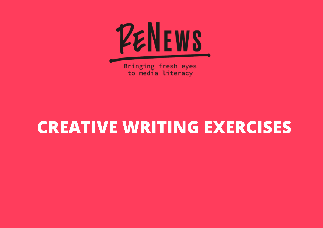

to media literacy

### **CREATIVE WRITING EXERCISES**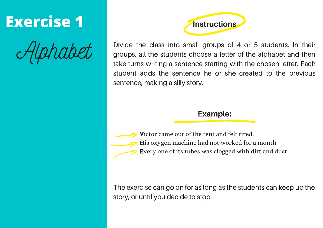

Divide the class into small groups of 4 or 5 students. In their groups, all the students choose a letter of the alphabet and then take turns writing a sentence starting with the chosen letter. Each student adds the sentence he or she created to the previous sentence, making a silly story.

### **Example:**

Victor came out of the tent and felt tired. His oxygen machine had not worked for a month. Every one of its tubes was clogged with dirt and dust.

The exercise can go on for as long as the students can keep up the story, or until you decide to stop.

### **Exercise 1**

Alphabet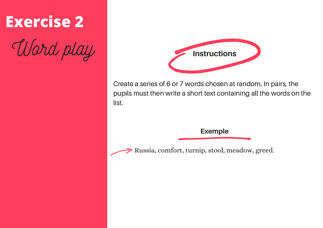

Create a series of 6 or 7 words chosen at random. In pairs, the pupils must then write a short text containing all the words on the list.

### **Exemple**



Russia, comfort, turnip, stool, meadow, greed.





Word play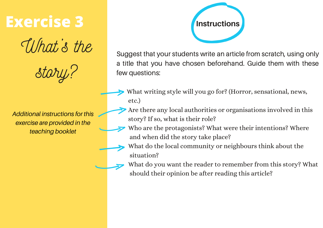

Suggest that your students write an article from scratch, using only a title that you have chosen beforehand. Guide them with these few questions:

- What writing style will you go for? (Horror, sensational, news, etc.)
- Are there any local authorities or organisations involved in this story? If so, what is their role?
- Who are the protagonists? What were their intentions? Where and when did the story take place?
- What do the local community or neighbours think about the situation?
- What do you want the reader to remember from this story? What should their opinion be after reading this article?

## **Exercise 3**

Uhat's the

story?

*Additional instructions for this exercise are provided in the teaching booklet*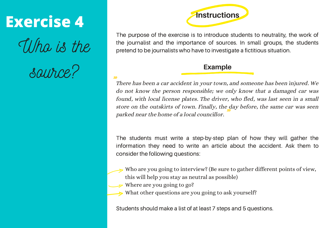

The purpose of the exercise is to introduce students to neutrality, the work of the journalist and the importance of sources. In small groups, the students pretend to be journalists who have to investigate a fictitious situation.

### **Example**

- Who are you going to interview? (Be sure to gather different points of view, this will help you stay as neutral as possible)
- Where are you going to go?
- What other questions are you going to ask yourself?

There has been a car accident in your town, and someone has been injured. We "do not know the person responsible; we only know that a damaged car was found, with local license plates. The driver, who fled, was last seen in a small store on the outskirts of town. Finally, the day before, the same car was seen parked near the home of a local councillor.

The students must write a step-by-step plan of how they will gather the information they need to write an article about the accident. Ask them to consider the following questions:

Students should make a list of at least 7 steps and 5 questions.



# Who is the

source?

98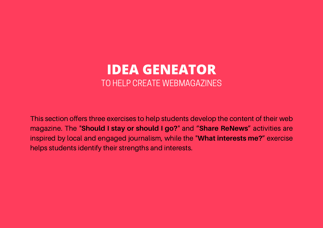This section offers three exercises to help students develop the content of their web magazine. The "**Should I stay or should I go?**" and "**Share ReNews**" activities are inspired by local and engaged journalism, while the "**What interests me?**" exercise helps students identify their strengths and interests.

### TO HELP CREATE WEBMAGAZINES **IDEA GENEATOR**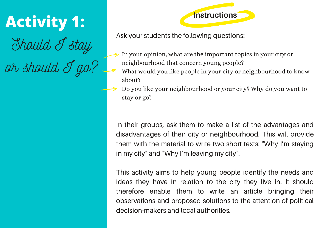**Instructions**

Ask your students the following questions:

In your opinion, what are the important topics in your city or neighbourhood that concern young people? What would you like people in your city or neighbourhood to know about?

Do you like your neighbourhood or your city? Why do you want to stay or go?

In their groups, ask them to make a list of the advantages and disadvantages of their city or neighbourhood. This will provide them with the material to write two short texts: "Why I'm staying in my city" and "Why I'm leaving my city".

This activity aims to help young people identify the needs and ideas they have in relation to the city they live in. It should therefore enable them to write an article bringing their observations and proposed solutions to the attention of political decision-makers and local authorities.



## **Activity 1:**

Should I stay

or should I go?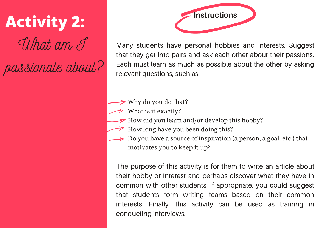

Many students have personal hobbies and interests. Suggest that they get into pairs and ask each other about their passions. Each must learn as much as possible about the other by asking relevant questions, such as:

- Why do you do that?
- What is it exactly?
- How did you learn and/or develop this hobby?
- How long have you been doing this?
- Do you have a source of inspiration (a person, a goal, etc.) that motivates you to keep it up?

The purpose of this activity is for them to write an article about their hobby or interest and perhaps discover what they have in common with other students. If appropriate, you could suggest that students form writing teams based on their common interests. Finally, this activity can be used as training in conducting interviews.



What am I passionate about?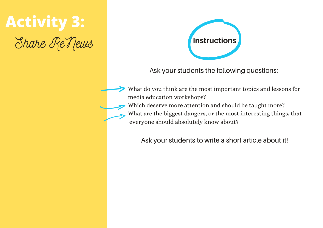

Ask your students the following questions:

What do you think are the most important topics and lessons for media education workshops?

Which deserve more attention and should be taught more? What are the biggest dangers, or the most interesting things, that everyone should absolutely know about?

Ask your students to write a short article about it!

## **Activity 3:**